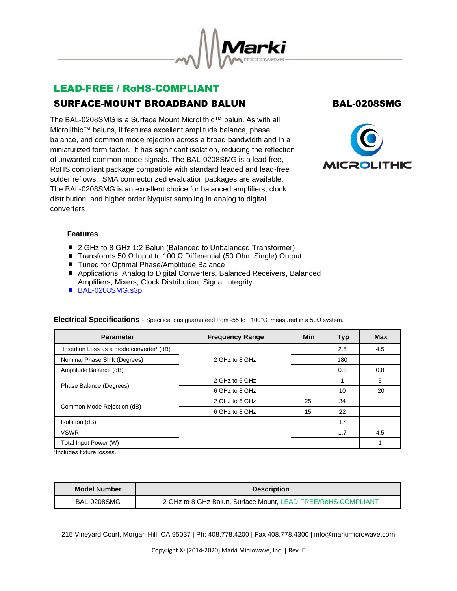

# LEAD-FREE / RoHS-COMPLIANT SURFACE-MOUNT BROADBAND BALUN BAL-0208SMG

The BAL-0208SMG is a Surface Mount Microlithic™ balun. As with all Microlithic™ baluns, it features excellent amplitude balance, phase balance, and common mode rejection across a broad bandwidth and in a miniaturized form factor. It has significant isolation, reducing the reflection of unwanted common mode signals. The BAL-0208SMG is a lead free, RoHS compliant package compatible with standard leaded and lead-free solder reflows. SMA connectorized evaluation packages are available. The BAL-0208SMG is an excellent choice for balanced amplifiers, clock distribution, and higher order Nyquist sampling in analog to digital converters





### **Features**

- 2 GHz to 8 GHz 1:2 Balun (Balanced to Unbalanced Transformer)
- $\blacksquare$  Transforms 50 Ω Input to 100 Ω Differential (50 Ohm Single) Output
- Tuned for Optimal Phase/Amplitude Balance
- Applications: Analog to Digital Converters, Balanced Receivers, Balanced Amplifiers, Mixers, Clock Distribution, Signal Integrity
- [BAL-0208SMG.s3p](http://www.markimicrowave.com/assets/data/BAL-0208SMG.zip)

| <b>Parameter</b>                                     | <b>Frequency Range</b> | <b>Min</b> | <b>Typ</b> | <b>Max</b> |
|------------------------------------------------------|------------------------|------------|------------|------------|
| Insertion Loss as a mode converter <sup>1</sup> (dB) |                        |            | 2.5        | 4.5        |
| Nominal Phase Shift (Degrees)                        | 2 GHz to 8 GHz         |            | 180        |            |
| Amplitude Balance (dB)                               |                        |            | 0.3        | 0.8        |
|                                                      | 2 GHz to 6 GHz         |            |            | 5          |
| Phase Balance (Degrees)                              | 6 GHz to 8 GHz         |            | 10         | 20         |
|                                                      | 2 GHz to 6 GHz         | 25         | 34         |            |
| Common Mode Rejection (dB)                           | 6 GHz to 8 GHz         | 15         | 22         |            |
| Isolation (dB)                                       |                        |            | 17         |            |
| <b>VSWR</b>                                          |                        |            | 1.7        | 4.5        |
| Total Input Power (W)                                |                        |            |            |            |

#### **Electrical Specifications -** Specifications guaranteed from -55 to +100°C, measured in a 50Ω system.

1 Includes fixture losses.

| <b>Model Number</b> | <b>Description</b>                                            |
|---------------------|---------------------------------------------------------------|
| BAL-0208SMG         | 2 GHz to 8 GHz Balun, Surface Mount, LEAD-FREE/RoHS COMPLIANT |

215 Vineyard Court, Morgan Hill, CA 95037 | Ph: 408.778.4200 | Fax 408.778.4300 | info@markimicrowave.com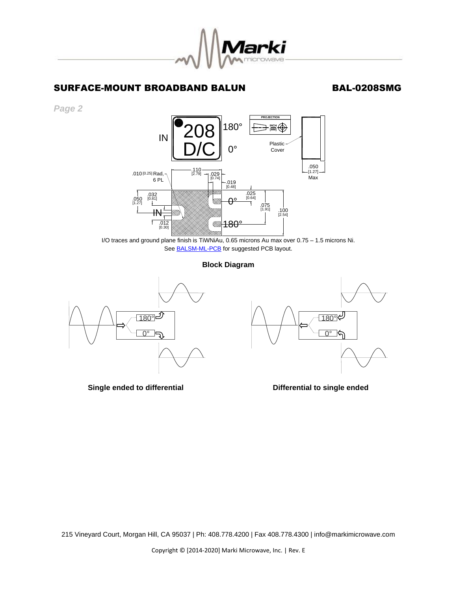

## SURFACE-MOUNT BROADBAND BALUN BAL-0208SMG

*Page 2*



I/O traces and ground plane finish is TiWNiAu, 0.65 microns Au max over 0.75 – 1.5 microns Ni. See **BALSM-ML-PCB** for suggested PCB layout.

#### **Block Diagram**





**Single ended to differential Conservation Entity Conservation Differential to single ended**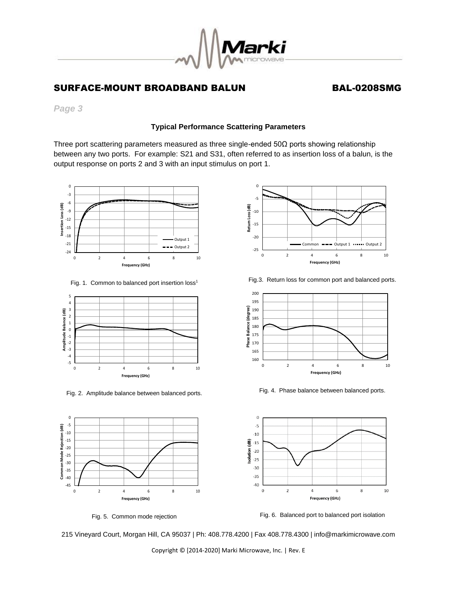

# SURFACE-MOUNT BROADBAND BALUN BAL-0208SMG

*Page 3*

### **Typical Performance Scattering Parameters**

Three port scattering parameters measured as three single-ended 50Ω ports showing relationship between any two ports. For example: S21 and S31, often referred to as insertion loss of a balun, is the output response on ports 2 and 3 with an input stimulus on port 1.



Fig. 1. Common to balanced port insertion loss<sup>1</sup>



Fig. 2. Amplitude balance between balanced ports.





Fig.3. Return loss for common port and balanced ports.



Fig. 4. Phase balance between balanced ports.



Fig. 5. Common mode rejection Fig. 6. Balanced port to balanced port isolation

215 Vineyard Court, Morgan Hill, CA 95037 | Ph: 408.778.4200 | Fax 408.778.4300 | info@markimicrowave.com

Copyright © [2014-2020] Marki Microwave, Inc. | Rev. E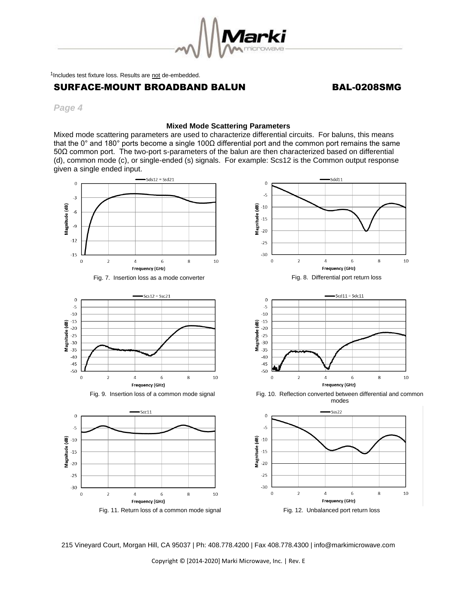<sup>1</sup>Includes test fixture loss. Results are not de-embedded.

# SURFACE-MOUNT BROADBAND BALUN BAL-0208SMG

*Page 4*

 $\,0\,$ 

 $-5$ 

### **Mixed Mode Scattering Parameters**

Mixed mode scattering parameters are used to characterize differential circuits. For baluns, this means that the 0° and 180° ports become a single 100Ω differential port and the common port remains the same 50Ω common port. The two-port s-parameters of the balun are then characterized based on differential (d), common mode (c), or single-ended (s) signals. For example: Scs12 is the Common output response given a single ended input.





 $Scc11$ 





 Fig. 9. Insertion loss of a common mode signal Fig. 10. Reflection converted between differential and common modes





215 Vineyard Court, Morgan Hill, CA 95037 | Ph: 408.778.4200 | Fax 408.778.4300 | info@markimicrowave.com